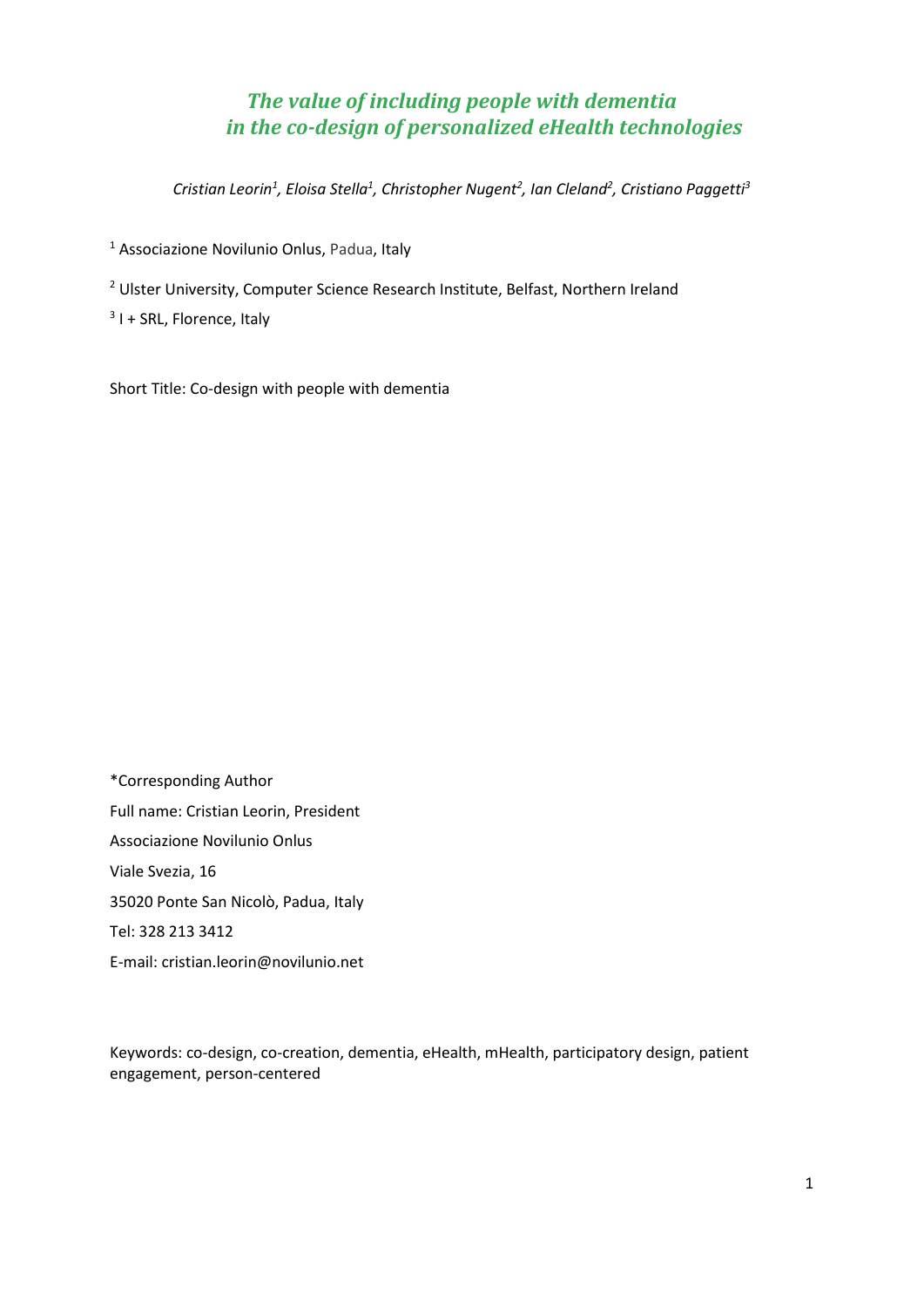# *The value of including people with dementia in the co-design of personalized eHealth technologies*

*Cristian Leorin1 , Eloisa Stella1 , Christopher Nugent2 , Ian Cleland2 , Cristiano Paggetti3*

<sup>1</sup> Associazione Novilunio Onlus, Padua, Italy

<sup>2</sup> Ulster University, Computer Science Research Institute, Belfast, Northern Ireland

 $3$  I + SRL, Florence, Italy

Short Title: Co-design with people with dementia

\*Corresponding Author Full name: Cristian Leorin, President Associazione Novilunio Onlus Viale Svezia, 16 35020 Ponte San Nicolò, Padua, Italy Tel: 328 213 3412 E-mail: cristian.leorin@novilunio.net

Keywords: co-design, co-creation, dementia, eHealth, mHealth, participatory design, patient engagement, person-centered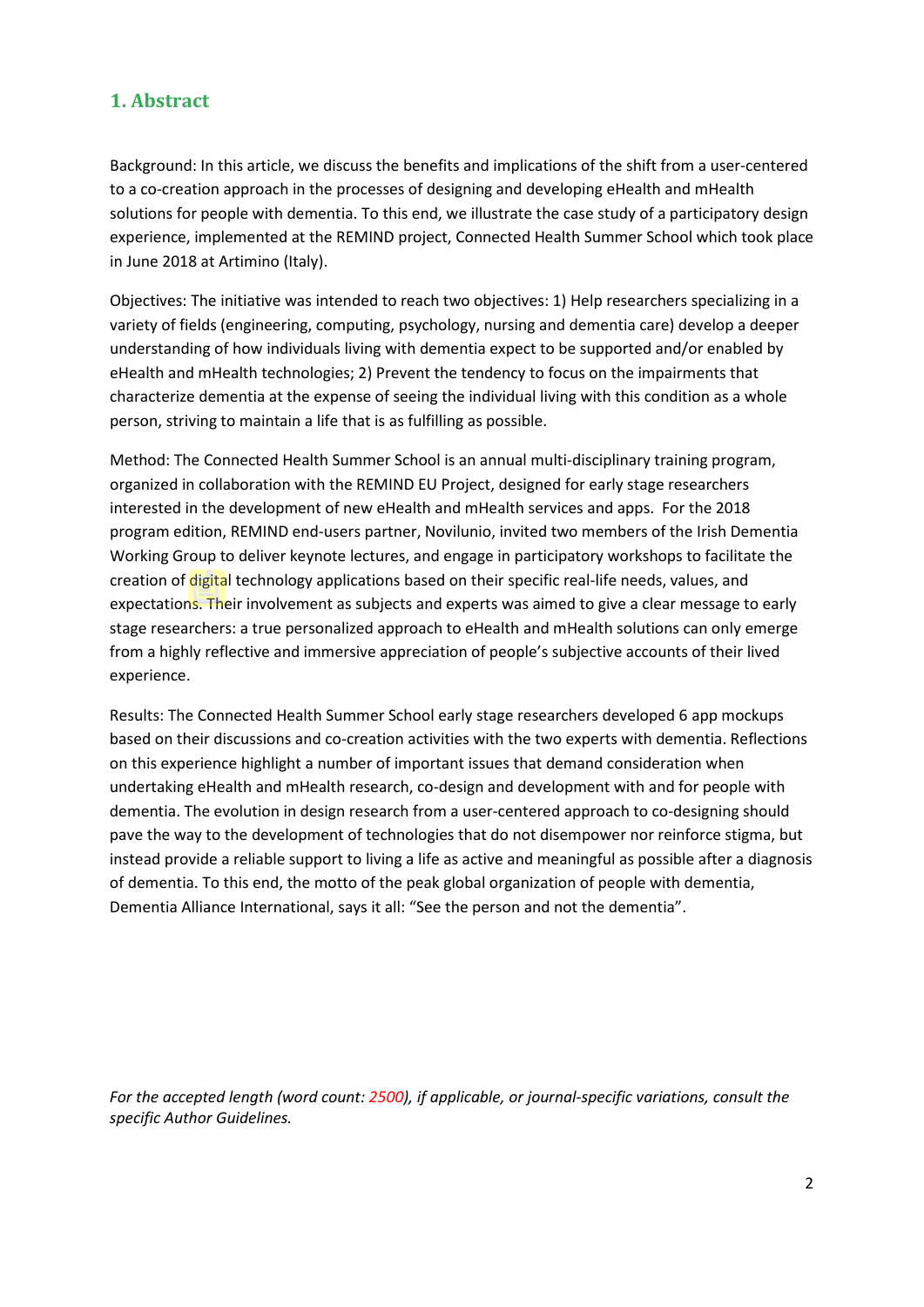# **1. Abstract**

Background: In this article, we discuss the benefits and implications of the shift from a user-centered to a co-creation approach in the processes of designing and developing eHealth and mHealth solutions for people with dementia. To this end, we illustrate the case study of a participatory design experience, implemented at the REMIND project, Connected Health Summer School which took place in June 2018 at Artimino (Italy).

Objectives: The initiative was intended to reach two objectives: 1) Help researchers specializing in a variety of fields (engineering, computing, psychology, nursing and dementia care) develop a deeper understanding of how individuals living with dementia expect to be supported and/or enabled by eHealth and mHealth technologies; 2) Prevent the tendency to focus on the impairments that characterize dementia at the expense of seeing the individual living with this condition as a whole person, striving to maintain a life that is as fulfilling as possible.

Method: The Connected Health Summer School is an annual multi-disciplinary training program, organized in collaboration with the REMIND EU Project, designed for early stage researchers interested in the development of new eHealth and mHealth services and apps. For the 2018 program edition, REMIND end-users partner, Novilunio, invited two members of the Irish Dementia Working Group to deliver keynote lectures, and engage in participatory workshops to facilitate the creation of digital technology applications based on their specific real-life needs, values, and expectations. Their involvement as subjects and experts was aimed to give a clear message to early stage researchers: a true personalized approach to eHealth and mHealth solutions can only emerge from a highly reflective and immersive appreciation of people's subjective accounts of their lived experience.

Results: The Connected Health Summer School early stage researchers developed 6 app mockups based on their discussions and co-creation activities with the two experts with dementia. Reflections on this experience highlight a number of important issues that demand consideration when undertaking eHealth and mHealth research, co-design and development with and for people with dementia. The evolution in design research from a user-centered approach to co-designing should pave the way to the development of technologies that do not disempower nor reinforce stigma, but instead provide a reliable support to living a life as active and meaningful as possible after a diagnosis of dementia. To this end, the motto of the peak global organization of people with dementia, Dementia Alliance International, says it all: "See the person and not the dementia".

*For the accepted length (word count: 2500), if applicable, or journal-specific variations, consult the specific Author Guidelines.*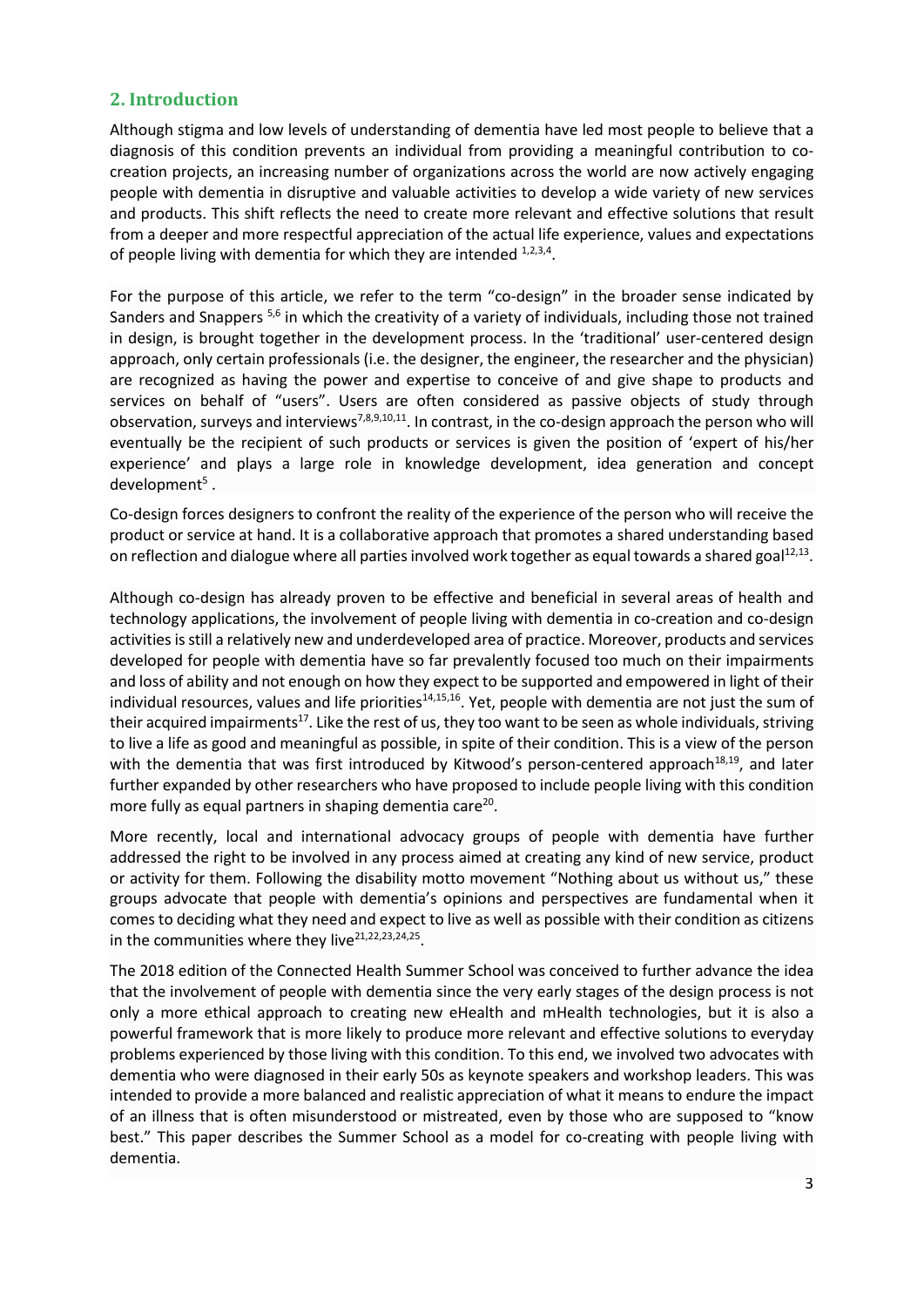#### **2. Introduction**

Although stigma and low levels of understanding of dementia have led most people to believe that a diagnosis of this condition prevents an individual from providing a meaningful contribution to cocreation projects, an increasing number of organizations across the world are now actively engaging people with dementia in disruptive and valuable activities to develop a wide variety of new services and products. This shift reflects the need to create more relevant and effective solutions that result from a deeper and more respectful appreciation of the actual life experience, values and expectations of people living with dementia for which they are intended  $1,2,3,4$ .

For the purpose of this article, we refer to the term "co-design" in the broader sense indicated by Sanders and Snappers <sup>5,6</sup> in which the creativity of a variety of individuals, including those not trained in design, is brought together in the development process. In the 'traditional' user-centered design approach, only certain professionals (i.e. the designer, the engineer, the researcher and the physician) are recognized as having the power and expertise to conceive of and give shape to products and services on behalf of "users". Users are often considered as passive objects of study through observation, surveys and interviews<sup>7,8,9,10,11</sup>. In contrast, in the co-design approach the person who will eventually be the recipient of such products or services is given the position of 'expert of his/her experience' and plays a large role in knowledge development, idea generation and concept development $5$ .

Co-design forces designers to confront the reality of the experience of the person who will receive the product or service at hand. It is a collaborative approach that promotes a shared understanding based on reflection and dialogue where all parties involved work together as equal towards a shared goal<sup>12,13</sup>.

Although co-design has already proven to be effective and beneficial in several areas of health and technology applications, the involvement of people living with dementia in co-creation and co-design activities is still a relatively new and underdeveloped area of practice. Moreover, products and services developed for people with dementia have so far prevalently focused too much on their impairments and loss of ability and not enough on how they expect to be supported and empowered in light of their individual resources, values and life priorities $14,15,16$ . Yet, people with dementia are not just the sum of their acquired impairments<sup>17</sup>. Like the rest of us, they too want to be seen as whole individuals, striving to live a life as good and meaningful as possible, in spite of their condition. This is a view of the person with the dementia that was first introduced by Kitwood's person-centered approach<sup>18,19</sup>, and later further expanded by other researchers who have proposed to include people living with this condition more fully as equal partners in shaping dementia care<sup>20</sup>.

More recently, local and international advocacy groups of people with dementia have further addressed the right to be involved in any process aimed at creating any kind of new service, product or activity for them. Following the disability motto movement "Nothing about us without us," these groups advocate that people with dementia's opinions and perspectives are fundamental when it comes to deciding what they need and expect to live as well as possible with their condition as citizens in the communities where they live $21,22,23,24,25$ .

The 2018 edition of the Connected Health Summer School was conceived to further advance the idea that the involvement of people with dementia since the very early stages of the design process is not only a more ethical approach to creating new eHealth and mHealth technologies, but it is also a powerful framework that is more likely to produce more relevant and effective solutions to everyday problems experienced by those living with this condition. To this end, we involved two advocates with dementia who were diagnosed in their early 50s as keynote speakers and workshop leaders. This was intended to provide a more balanced and realistic appreciation of what it means to endure the impact of an illness that is often misunderstood or mistreated, even by those who are supposed to "know best." This paper describes the Summer School as a model for co-creating with people living with dementia.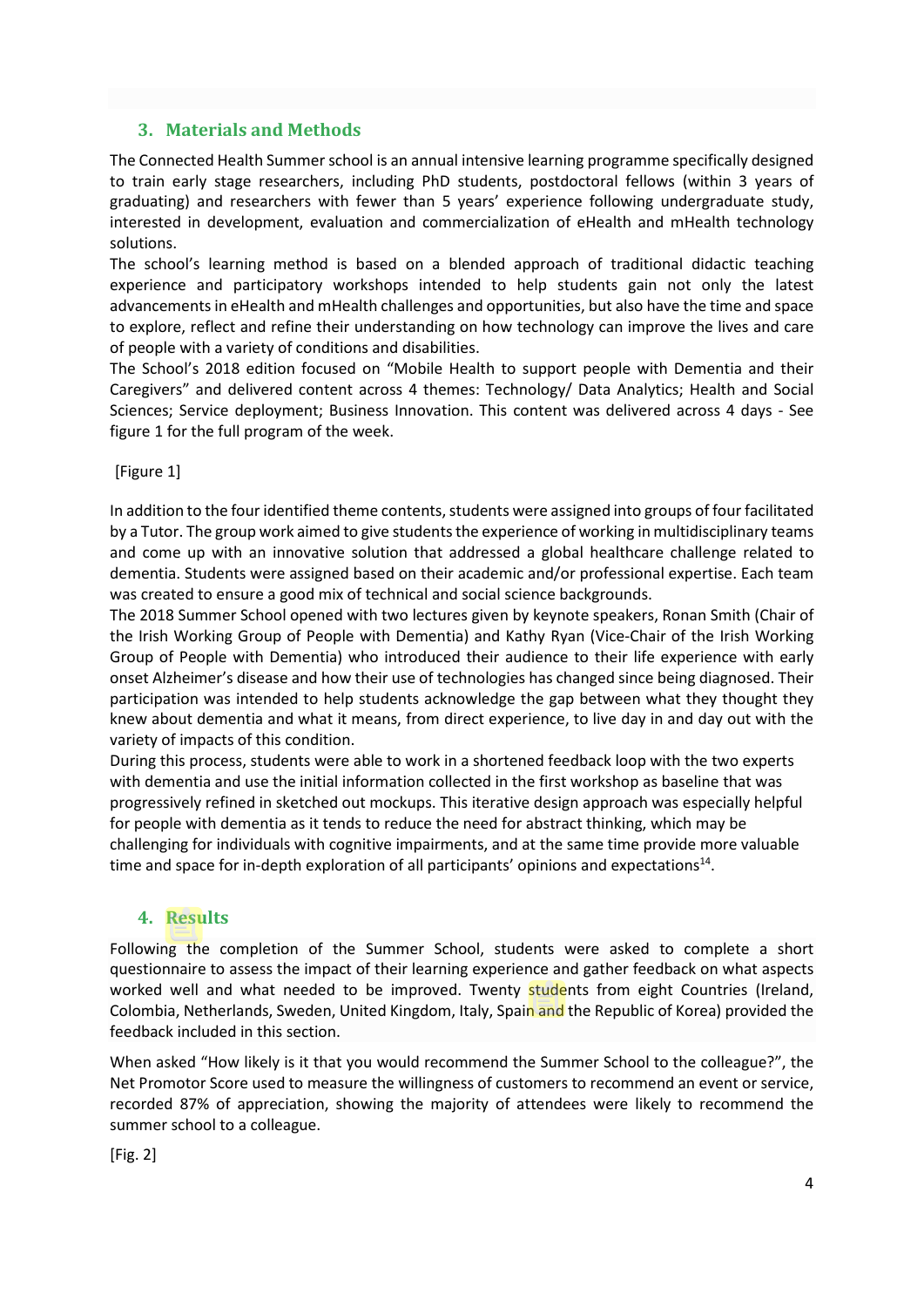### **3. Materials and Methods**

The Connected Health Summer school is an annual intensive learning programme specifically designed to train early stage researchers, including PhD students, postdoctoral fellows (within 3 years of graduating) and researchers with fewer than 5 years' experience following undergraduate study, interested in development, evaluation and commercialization of eHealth and mHealth technology solutions.

The school's learning method is based on a blended approach of traditional didactic teaching experience and participatory workshops intended to help students gain not only the latest advancements in eHealth and mHealth challenges and opportunities, but also have the time and space to explore, reflect and refine their understanding on how technology can improve the lives and care of people with a variety of conditions and disabilities.

The School's 2018 edition focused on "Mobile Health to support people with Dementia and their Caregivers" and delivered content across 4 themes: Technology/ Data Analytics; Health and Social Sciences; Service deployment; Business Innovation. This content was delivered across 4 days - See figure 1 for the full program of the week.

[Figure 1]

In addition to the four identified theme contents, students were assigned into groups of four facilitated by a Tutor. The group work aimed to give students the experience of working in multidisciplinary teams and come up with an innovative solution that addressed a global healthcare challenge related to dementia. Students were assigned based on their academic and/or professional expertise. Each team was created to ensure a good mix of technical and social science backgrounds.

The 2018 Summer School opened with two lectures given by keynote speakers, Ronan Smith (Chair of the Irish Working Group of People with Dementia) and Kathy Ryan (Vice-Chair of the Irish Working Group of People with Dementia) who introduced their audience to their life experience with early onset Alzheimer's disease and how their use of technologies has changed since being diagnosed. Their participation was intended to help students acknowledge the gap between what they thought they knew about dementia and what it means, from direct experience, to live day in and day out with the variety of impacts of this condition.

During this process, students were able to work in a shortened feedback loop with the two experts with dementia and use the initial information collected in the first workshop as baseline that was progressively refined in sketched out mockups. This iterative design approach was especially helpful for people with dementia as it tends to reduce the need for abstract thinking, which may be challenging for individuals with cognitive impairments, and at the same time provide more valuable time and space for in-depth exploration of all participants' opinions and expectations<sup>14</sup>.

#### **4. Results**

Following the completion of the Summer School, students were asked to complete a short questionnaire to assess the impact of their learning experience and gather feedback on what aspects worked well and what needed to be improved. Twenty students from eight Countries (Ireland, Colombia, Netherlands, Sweden, United Kingdom, Italy, Spain and the Republic of Korea) provided the feedback included in this section.

When asked "How likely is it that you would recommend the Summer School to the colleague?", the Net Promotor Score used to measure the willingness of customers to recommend an event or service, recorded 87% of appreciation, showing the majority of attendees were likely to recommend the summer school to a colleague.

[Fig. 2]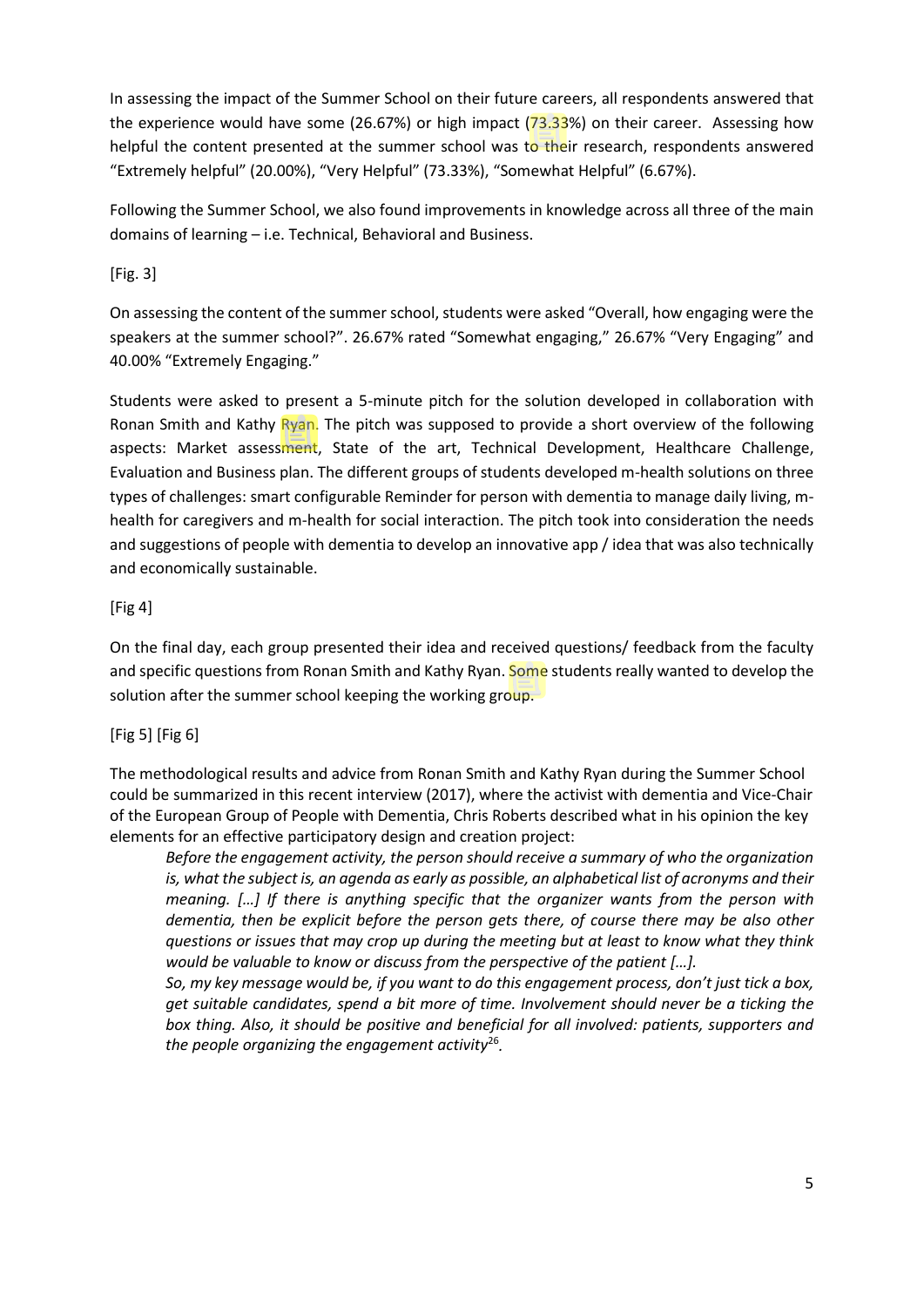In assessing the impact of the Summer School on their future careers, all respondents answered that the experience would have some (26.67%) or high impact (73.33%) on their career. Assessing how helpful the content presented at the summer school was to their research, respondents answered "Extremely helpful" (20.00%), "Very Helpful" (73.33%), "Somewhat Helpful" (6.67%).

Following the Summer School, we also found improvements in knowledge across all three of the main domains of learning – i.e. Technical, Behavioral and Business.

[Fig. 3]

On assessing the content of the summer school, students were asked "Overall, how engaging were the speakers at the summer school?". 26.67% rated "Somewhat engaging," 26.67% "Very Engaging" and 40.00% "Extremely Engaging."

Students were asked to present a 5-minute pitch for the solution developed in collaboration with Ronan Smith and Kathy Ryan. The pitch was supposed to provide a short overview of the following aspects: Market assessment, State of the art, Technical Development, Healthcare Challenge, Evaluation and Business plan. The different groups of students developed m-health solutions on three types of challenges: smart configurable Reminder for person with dementia to manage daily living, mhealth for caregivers and m-health for social interaction. The pitch took into consideration the needs and suggestions of people with dementia to develop an innovative app / idea that was also technically and economically sustainable.

### [Fig 4]

On the final day, each group presented their idea and received questions/ feedback from the faculty and specific questions from Ronan Smith and Kathy Ryan. Some students really wanted to develop the solution after the summer school keeping the working group.

#### [Fig 5] [Fig 6]

The methodological results and advice from Ronan Smith and Kathy Ryan during the Summer School could be summarized in this recent interview (2017), where the activist with dementia and Vice-Chair of the European Group of People with Dementia, Chris Roberts described what in his opinion the key elements for an effective participatory design and creation project:

*Before the engagement activity, the person should receive a summary of who the organization is, what the subject is, an agenda as early as possible, an alphabetical list of acronyms and their meaning. […] If there is anything specific that the organizer wants from the person with dementia, then be explicit before the person gets there, of course there may be also other questions or issues that may crop up during the meeting but at least to know what they think would be valuable to know or discuss from the perspective of the patient […].*

*So, my key message would be, if you want to do this engagement process, don't just tick a box, get suitable candidates, spend a bit more of time. Involvement should never be a ticking the box thing. Also, it should be positive and beneficial for all involved: patients, supporters and the people organizing the engagement activity*<sup>26</sup> *.*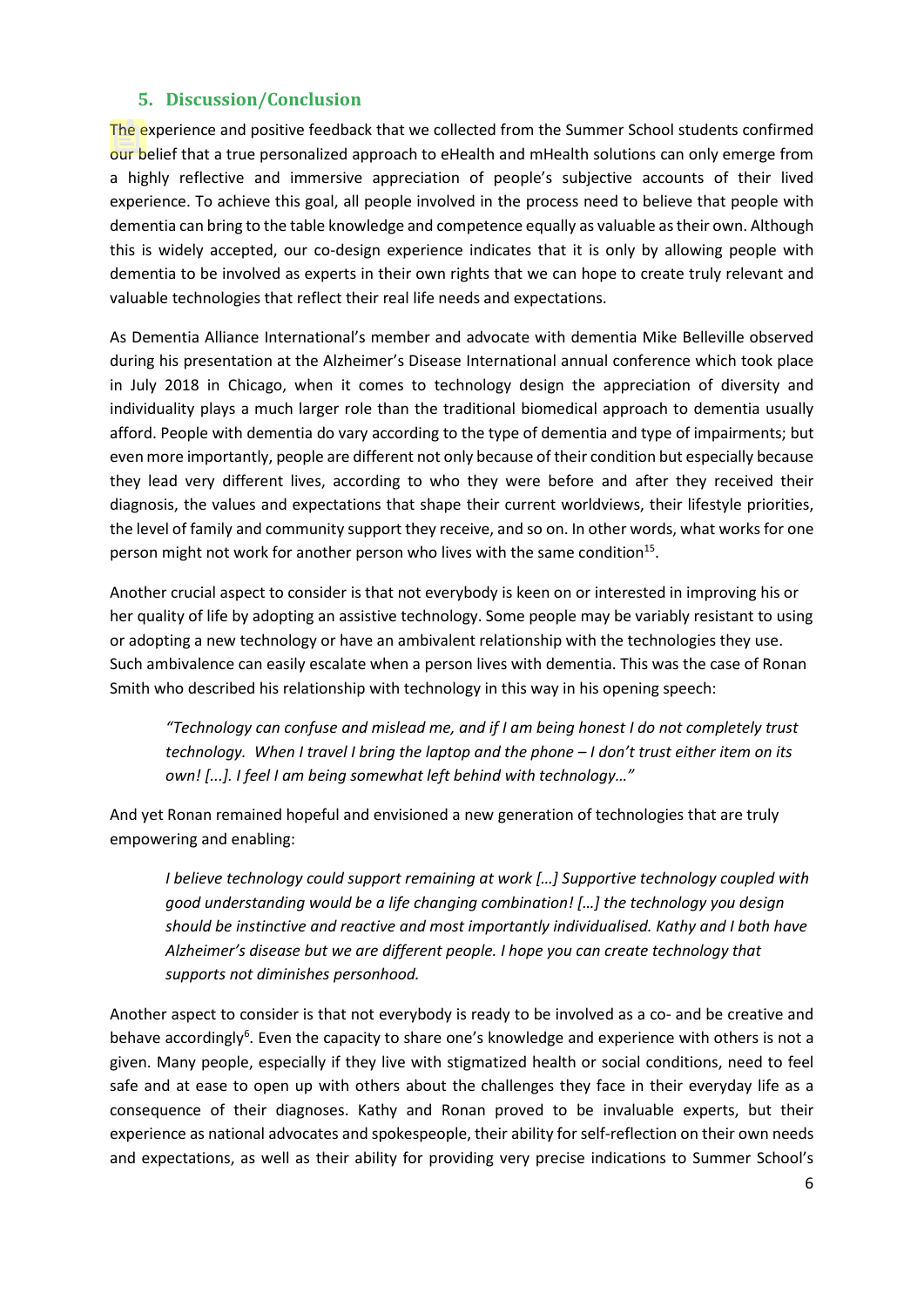### **5. Discussion/Conclusion**

The experience and positive feedback that we collected from the Summer School students confirmed our belief that a true personalized approach to eHealth and mHealth solutions can only emerge from a highly reflective and immersive appreciation of people's subjective accounts of their lived experience. To achieve this goal, all people involved in the process need to believe that people with dementia can bring to the table knowledge and competence equally as valuable as their own. Although this is widely accepted, our co-design experience indicates that it is only by allowing people with dementia to be involved as experts in their own rights that we can hope to create truly relevant and valuable technologies that reflect their real life needs and expectations.

As Dementia Alliance International's member and advocate with dementia Mike Belleville observed during his presentation at the Alzheimer's Disease International annual conference which took place in July 2018 in Chicago, when it comes to technology design the appreciation of diversity and individuality plays a much larger role than the traditional biomedical approach to dementia usually afford. People with dementia do vary according to the type of dementia and type of impairments; but even more importantly, people are different not only because of their condition but especially because they lead very different lives, according to who they were before and after they received their diagnosis, the values and expectations that shape their current worldviews, their lifestyle priorities, the level of family and community support they receive, and so on. In other words, what works for one person might not work for another person who lives with the same condition<sup>15</sup>.

Another crucial aspect to consider is that not everybody is keen on or interested in improving his or her quality of life by adopting an assistive technology. Some people may be variably resistant to using or adopting a new technology or have an ambivalent relationship with the technologies they use. Such ambivalence can easily escalate when a person lives with dementia. This was the case of Ronan Smith who described his relationship with technology in this way in his opening speech:

*"Technology can confuse and mislead me, and if I am being honest I do not completely trust technology. When I travel I bring the laptop and the phone – I don't trust either item on its own! [...]. I feel I am being somewhat left behind with technology…"*

And yet Ronan remained hopeful and envisioned a new generation of technologies that are truly empowering and enabling:

*I believe technology could support remaining at work […] Supportive technology coupled with good understanding would be a life changing combination! […] the technology you design should be instinctive and reactive and most importantly individualised. Kathy and I both have Alzheimer's disease but we are different people. I hope you can create technology that supports not diminishes personhood.*

Another aspect to consider is that not everybody is ready to be involved as a co- and be creative and behave accordingly<sup>6</sup>. Even the capacity to share one's knowledge and experience with others is not a given. Many people, especially if they live with stigmatized health or social conditions, need to feel safe and at ease to open up with others about the challenges they face in their everyday life as a consequence of their diagnoses. Kathy and Ronan proved to be invaluable experts, but their experience as national advocates and spokespeople, their ability for self-reflection on their own needs and expectations, as well as their ability for providing very precise indications to Summer School's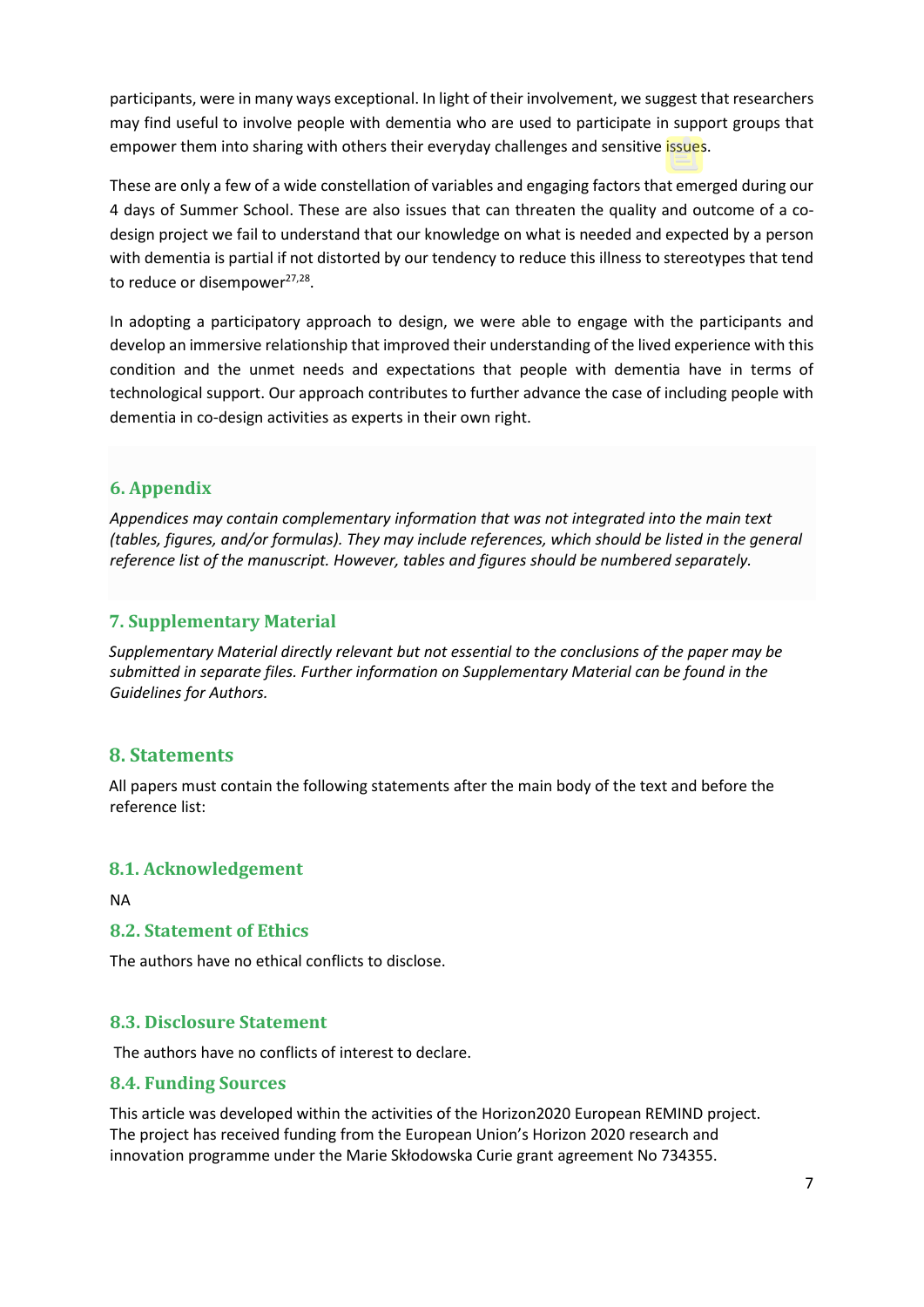participants, were in many ways exceptional. In light of their involvement, we suggest that researchers may find useful to involve people with dementia who are used to participate in support groups that empower them into sharing with others their everyday challenges and sensitive issues.

These are only a few of a wide constellation of variables and engaging factors that emerged during our 4 days of Summer School. These are also issues that can threaten the quality and outcome of a codesign project we fail to understand that our knowledge on what is needed and expected by a person with dementia is partial if not distorted by our tendency to reduce this illness to stereotypes that tend to reduce or disempower<sup>27,28</sup>.

In adopting a participatory approach to design, we were able to engage with the participants and develop an immersive relationship that improved their understanding of the lived experience with this condition and the unmet needs and expectations that people with dementia have in terms of technological support. Our approach contributes to further advance the case of including people with dementia in co-design activities as experts in their own right.

# **6. Appendix**

*Appendices may contain complementary information that was not integrated into the main text (tables, figures, and/or formulas). They may include references, which should be listed in the general reference list of the manuscript. However, tables and figures should be numbered separately.*

### **7. Supplementary Material**

*Supplementary Material directly relevant but not essential to the conclusions of the paper may be submitted in separate files. Further information on Supplementary Material can be found in the Guidelines for Authors.*

## **8. Statements**

All papers must contain the following statements after the main body of the text and before the reference list:

#### **8.1. Acknowledgement**

NA

#### **8.2. Statement of Ethics**

The authors have no ethical conflicts to disclose.

## **8.3. Disclosure Statement**

The authors have no conflicts of interest to declare.

#### **8.4. Funding Sources**

This article was developed within the activities of the Horizon2020 European REMIND project. The project has received funding from the European Union's Horizon 2020 research and innovation programme under the Marie Skłodowska Curie grant agreement No 734355.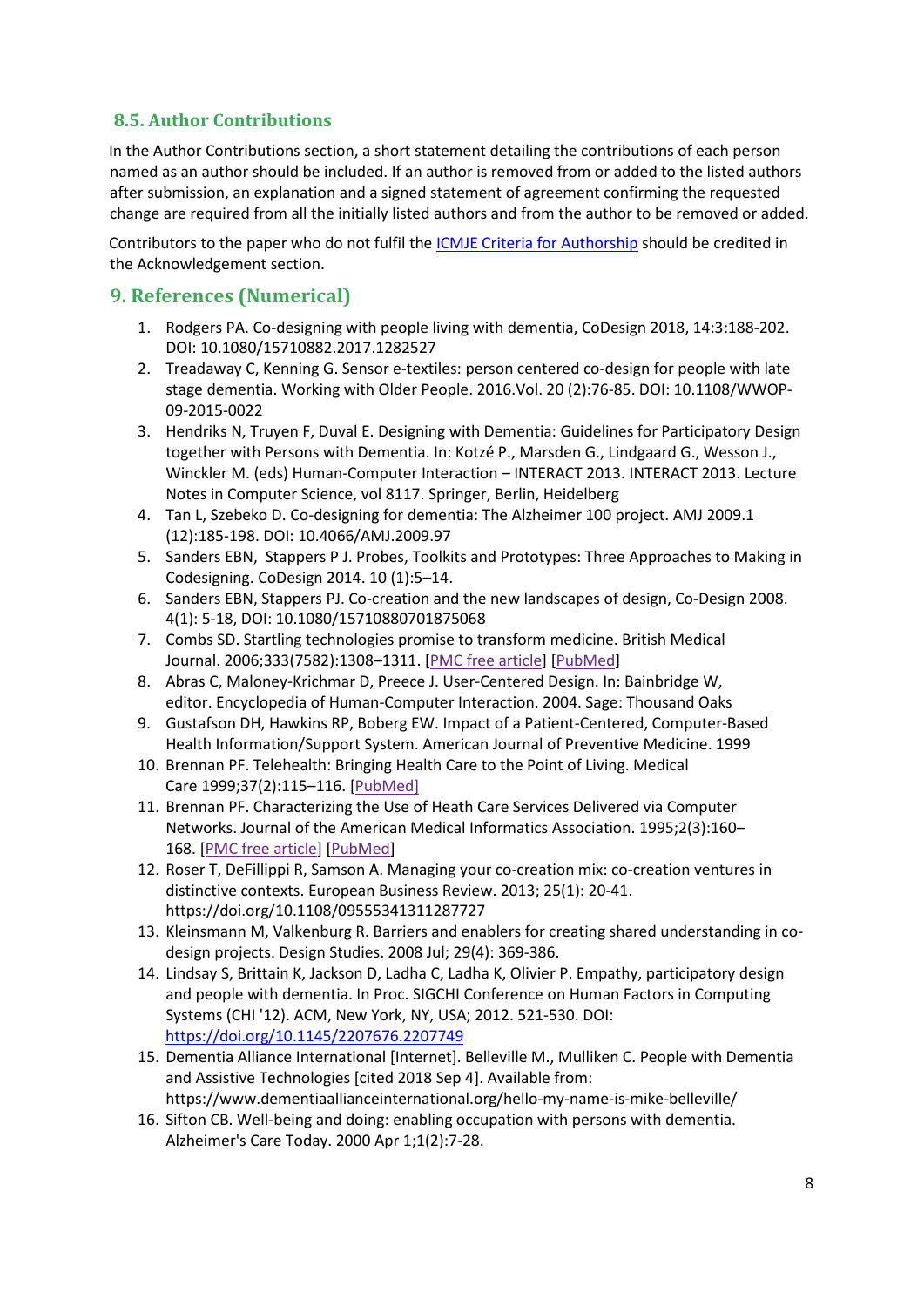# **8.5. Author Contributions**

In the Author Contributions section, a short statement detailing the contributions of each person named as an author should be included. If an author is removed from or added to the listed authors after submission, an explanation and a signed statement of agreement confirming the requested change are required from all the initially listed authors and from the author to be removed or added.

Contributors to the paper who do not fulfil the [ICMJE Criteria for Authorship](http://www.icmje.org/recommendations/browse/roles-and-responsibilities/defining-the-role-of-authors-and-contributors.html) should be credited in the Acknowledgement section.

# **9. References (Numerical)**

- 1. Rodgers PA. Co-designing with people living with dementia, CoDesign 2018, 14:3:188-202. DOI: [10.1080/15710882.2017.1282527](https://doi.org/10.1080/15710882.2017.1282527)
- 2. Treadaway C[, Kenning](https://www.emeraldinsight.com/author/Kenning%2C+Gail) G. Sensor e-textiles: person centered co-design for people with late stage dementia. Working with Older People. 2016.Vol. 20 (2):76-85. DOI: [10.1108/WWOP-](https://doi.org/10.1108/WWOP-09-2015-0022)[09-2015-0022](https://doi.org/10.1108/WWOP-09-2015-0022)
- 3. Hendriks N, Truyen F, Duval E. Designing with Dementia: Guidelines for Participatory Design together with Persons with Dementia. In: Kotzé P., Marsden G., Lindgaard G., Wesson J., Winckler M. (eds) Human-Computer Interaction – INTERACT 2013. INTERACT 2013. Lecture Notes in Computer Science, vol 8117. Springer, Berlin, Heidelberg
- 4. Tan L, Szebeko D. Co-designing for dementia: The Alzheimer 100 project. AMJ 2009.1 (12):185-198. DOI: 10.4066/AMJ.2009.97
- 5. Sanders EBN, Stappers P J. Probes, Toolkits and Prototypes: Three Approaches to Making in Codesigning. CoDesign 2014. 10 (1):5–14.
- 6. Sanders EBN, Stappers PJ. Co-creation and the new landscapes of design, Co-Design 2008. 4(1): 5-18, DOI: 10.1080/15710880701875068
- 7. Combs SD. Startling technologies promise to transform medicine. British Medical Journal. 2006;333(7582):1308–1311. [\[PMC free article\]](https://www.ncbi.nlm.nih.gov/pmc/articles/PMC1761153/) [\[PubMed\]](https://www.ncbi.nlm.nih.gov/pubmed/17185719)
- 8. Abras C, Maloney-Krichmar D, Preece J. User-Centered Design. In: Bainbridge W, editor. Encyclopedia of Human-Computer Interaction. 2004. Sage: Thousand Oaks
- 9. Gustafson DH, Hawkins RP, Boberg EW. Impact of a Patient-Centered, Computer-Based Health Information/Support System. American Journal of Preventive Medicine. 1999
- 10. Brennan PF. Telehealth: Bringing Health Care to the Point of Living. Medical Care 1999;37(2):115–116. [PubMed]
- 11. Brennan PF. Characterizing the Use of Heath Care Services Delivered via Computer Networks. Journal of the American Medical Informatics Association. 1995;2(3):160– 168. [\[PMC free article\]](https://www.ncbi.nlm.nih.gov/pmc/articles/PMC116250/) [\[PubMed\]](https://www.ncbi.nlm.nih.gov/pubmed/7614117)
- 12. [Roser](https://www.emeraldinsight.com/author/Roser%2C+Thorsten) T, [DeFillippi](https://www.emeraldinsight.com/author/DeFillippi%2C+Robert) R[, Samson](https://www.emeraldinsight.com/author/Samson%2C+Alain) A. Managing your co-creation mix: co-creation ventures in distinctive contexts. European Business Review. 2013; 25(1): 20-41. <https://doi.org/10.1108/09555341311287727>
- 13. [Kleinsmann](https://www.sciencedirect.com/science/article/pii/S0142694X0800032X#!) M, [Valkenburg](https://www.sciencedirect.com/science/article/pii/S0142694X0800032X#!) R. Barriers and enablers for creating shared understanding in codesign projects. Design Studies. 2008 Jul; 29(4): 369-386.
- 14. Lindsay S, Brittain K, Jackson D, Ladha C, Ladha K, Olivier P. Empathy, participatory design and people with dementia. In Proc. SIGCHI Conference on Human Factors in Computing Systems (CHI '12). ACM, New York, NY, USA; 2012. 521-530. DOI: <https://doi.org/10.1145/2207676.2207749>
- 15. Dementia Alliance International [Internet]. Belleville M., Mulliken C. People with Dementia and Assistive Technologies [cited 2018 Sep 4]. Available from: https://www.dementiaallianceinternational.org/hello-my-name-is-mike-belleville/
- 16. Sifton CB. Well-being and doing: enabling occupation with persons with dementia. Alzheimer's Care Today. 2000 Apr 1;1(2):7-28.